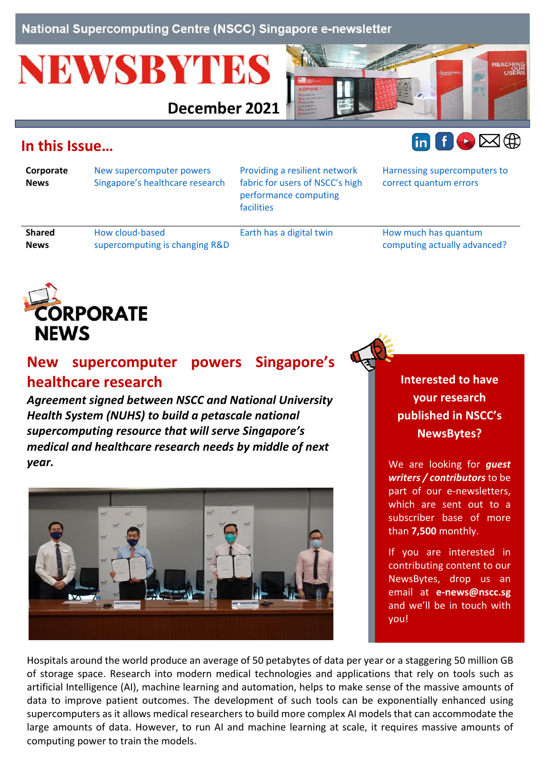National Supercomputing Centre (NSCC) Singapore e-newsletter

# **NEWSBYTES**

December 2021



## <span id="page-0-1"></span>**In this Issue…**

**Corporate News**

**News**

[New supercomputer powers](#page-0-0)  [Singapore's healthcare research](#page-0-0) [Providing a resilient network](#page-1-0)  [fabric for users of NSCC's high](#page-1-0)  [performance computing](#page-1-0)  [facilities](#page-1-0) 

[Harnessing supercomputers to](#page-3-0)  [correct quantum errors](#page-3-0)

 $\ln$   $\theta$   $\triangleright$   $\boxplus$   $\oplus$ 

**Shared**

[How cloud-based](#page-4-0)  [supercomputing is changing R&D](#page-4-0)

[Earth has a digital twin](#page-4-1) How much has quantum [computing actually advanced?](#page-4-2)



### <span id="page-0-0"></span>**New supercomputer powers Singapore's healthcare research**

*Agreement signed between NSCC and National University Health System (NUHS) to build a petascale national supercomputing resource that will serve Singapore's medical and healthcare research needs by middle of next year.*



**Interested to have your research published in NSCC's NewsBytes?**

We are looking for *guest writers / contributors* to be part of our e-newsletters, which are sent out to a subscriber base of more than **7,500** monthly.

If you are interested in contributing content to our NewsBytes, drop us an email at **[e-news@nscc.sg](mailto:e-news@nscc.sg)** and we'll be in touch with you!

Hospitals around the world produce an average of 50 petabytes of data per year or a staggering 50 million GB of storage space. Research into modern medical technologies and applications that rely on tools such as artificial Intelligence (AI), machine learning and automation, helps to make sense of the massive amounts of data to improve patient outcomes. The development of such tools can be exponentially enhanced using supercomputers as it allows medical researchers to build more complex AI models that can accommodate the large amounts of data. However, to run AI and machine learning at scale, it requires massive amounts of computing power to train the models.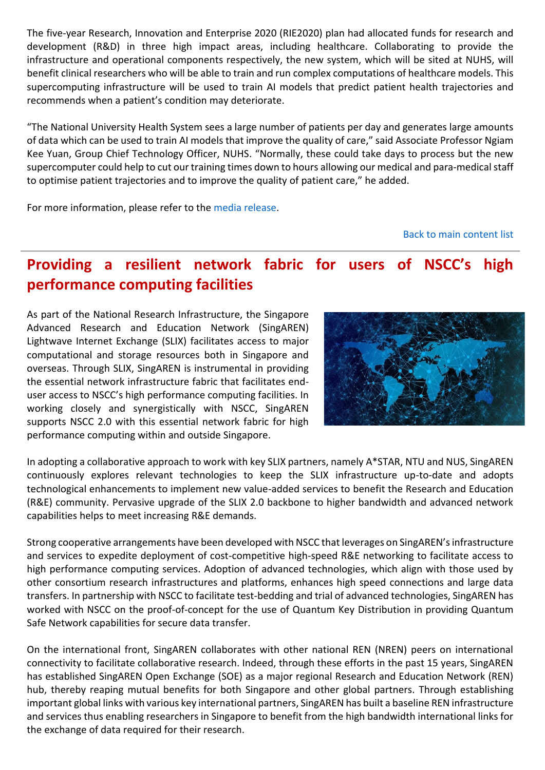The five-year Research, Innovation and Enterprise 2020 (RIE2020) plan had allocated funds for research and development (R&D) in three high impact areas, including healthcare. Collaborating to provide the infrastructure and operational components respectively, the new system, which will be sited at NUHS, will benefit clinical researchers who will be able to train and run complex computations of healthcare models. This supercomputing infrastructure will be used to train AI models that predict patient health trajectories and recommends when a patient's condition may deteriorate.

"The National University Health System sees a large number of patients per day and generates large amounts of data which can be used to train AI models that improve the quality of care," said Associate Professor Ngiam Kee Yuan, Group Chief Technology Officer, NUHS. "Normally, these could take days to process but the new supercomputer could help to cut our training times down to hours allowing our medical and para-medical staff to optimise patient trajectories and to improve the quality of patient care," he added.

For more information, please refer to the [media release.](https://www.nscc.sg/wp-content/uploads/2021/12/NUHS-NSCC-MEDIA-RELEASE.pdf)

[Back to main content list](#page-0-1)

## <span id="page-1-0"></span>**Providing a resilient network fabric for users of NSCC's high performance computing facilities**

As part of the National Research Infrastructure, the Singapore Advanced Research and Education Network (SingAREN) Lightwave Internet Exchange (SLIX) facilitates access to major computational and storage resources both in Singapore and overseas. Through SLIX, SingAREN is instrumental in providing the essential network infrastructure fabric that facilitates enduser access to NSCC's high performance computing facilities. In working closely and synergistically with NSCC, SingAREN supports NSCC 2.0 with this essential network fabric for high performance computing within and outside Singapore.



In adopting a collaborative approach to work with key SLIX partners, namely A\*STAR, NTU and NUS, SingAREN continuously explores relevant technologies to keep the SLIX infrastructure up-to-date and adopts technological enhancements to implement new value-added services to benefit the Research and Education (R&E) community. Pervasive upgrade of the SLIX 2.0 backbone to higher bandwidth and advanced network capabilities helps to meet increasing R&E demands.

Strong cooperative arrangements have been developed with NSCC that leverages on SingAREN's infrastructure and services to expedite deployment of cost-competitive high-speed R&E networking to facilitate access to high performance computing services. Adoption of advanced technologies, which align with those used by other consortium research infrastructures and platforms, enhances high speed connections and large data transfers. In partnership with NSCC to facilitate test-bedding and trial of advanced technologies, SingAREN has worked with NSCC on the proof-of-concept for the use of Quantum Key Distribution in providing Quantum Safe Network capabilities for secure data transfer.

On the international front, SingAREN collaborates with other national REN (NREN) peers on international connectivity to facilitate collaborative research. Indeed, through these efforts in the past 15 years, SingAREN has established SingAREN Open Exchange (SOE) as a major regional Research and Education Network (REN) hub, thereby reaping mutual benefits for both Singapore and other global partners. Through establishing important global links with various key international partners, SingAREN has built a baseline REN infrastructure and services thus enabling researchers in Singapore to benefit from the high bandwidth international links for the exchange of data required for their research.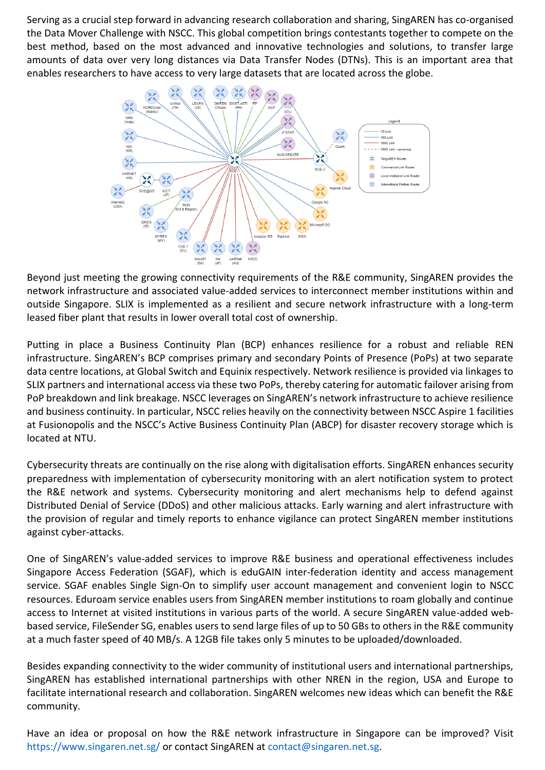Serving as a crucial step forward in advancing research collaboration and sharing, SingAREN has co-organised the Data Mover Challenge with NSCC. This global competition brings contestants together to compete on the best method, based on the most advanced and innovative technologies and solutions, to transfer large amounts of data over very long distances via Data Transfer Nodes (DTNs). This is an important area that enables researchers to have access to very large datasets that are located across the globe.



Beyond just meeting the growing connectivity requirements of the R&E community, SingAREN provides the network infrastructure and associated value-added services to interconnect member institutions within and outside Singapore. SLIX is implemented as a resilient and secure network infrastructure with a long-term leased fiber plant that results in lower overall total cost of ownership.

Putting in place a Business Continuity Plan (BCP) enhances resilience for a robust and reliable REN infrastructure. SingAREN's BCP comprises primary and secondary Points of Presence (PoPs) at two separate data centre locations, at Global Switch and Equinix respectively. Network resilience is provided via linkages to SLIX partners and international access via these two PoPs, thereby catering for automatic failover arising from PoP breakdown and link breakage. NSCC leverages on SingAREN's network infrastructure to achieve resilience and business continuity. In particular, NSCC relies heavily on the connectivity between NSCC Aspire 1 facilities at Fusionopolis and the NSCC's Active Business Continuity Plan (ABCP) for disaster recovery storage which is located at NTU.

Cybersecurity threats are continually on the rise along with digitalisation efforts. SingAREN enhances security preparedness with implementation of cybersecurity monitoring with an alert notification system to protect the R&E network and systems. Cybersecurity monitoring and alert mechanisms help to defend against Distributed Denial of Service (DDoS) and other malicious attacks. Early warning and alert infrastructure with the provision of regular and timely reports to enhance vigilance can protect SingAREN member institutions against cyber-attacks.

One of SingAREN's value-added services to improve R&E business and operational effectiveness includes Singapore Access Federation (SGAF), which is eduGAIN inter-federation identity and access management service. SGAF enables Single Sign-On to simplify user account management and convenient login to NSCC resources. Eduroam service enables users from SingAREN member institutions to roam globally and continue access to Internet at visited institutions in various parts of the world. A secure SingAREN value-added webbased service, FileSender SG, enables users to send large files of up to 50 GBs to others in the R&E community at a much faster speed of 40 MB/s. A 12GB file takes only 5 minutes to be uploaded/downloaded.

Besides expanding connectivity to the wider community of institutional users and international partnerships, SingAREN has established international partnerships with other NREN in the region, USA and Europe to facilitate international research and collaboration. SingAREN welcomes new ideas which can benefit the R&E community.

Have an idea or proposal on how the R&E network infrastructure in Singapore can be improved? Visit <https://www.singaren.net.sg/> or contact SingAREN at [contact@singaren.net.sg.](mailto:contact@singaren.net.sg)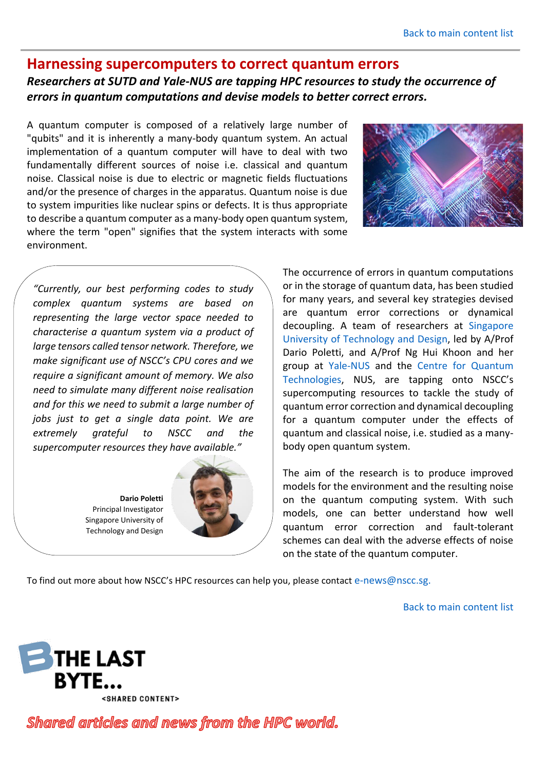#### <span id="page-3-0"></span>**Harnessing supercomputers to correct quantum errors**

#### *Researchers at SUTD and Yale-NUS are tapping HPC resources to study the occurrence of errors in quantum computations and devise models to better correct errors.*

A quantum computer is composed of a relatively large number of "qubits" and it is inherently a many-body quantum system. An actual implementation of a quantum computer will have to deal with two fundamentally different sources of noise i.e. classical and quantum noise. Classical noise is due to electric or magnetic fields fluctuations and/or the presence of charges in the apparatus. Quantum noise is due to system impurities like nuclear spins or defects. It is thus appropriate to describe a quantum computer as a many-body open quantum system, where the term "open" signifies that the system interacts with some environment.



*"Currently, our best performing codes to study complex quantum systems are based on representing the large vector space needed to characterise a quantum system via a product of large tensors called tensor network. Therefore, we make significant use of NSCC's CPU cores and we require a significant amount of memory. We also need to simulate many different noise realisation and for this we need to submit a large number of jobs just to get a single data point. We are extremely grateful to NSCC and the supercomputer resources they have available."*

> **Dario Poletti** Principal Investigator Singapore University of Technology and Design



The occurrence of errors in quantum computations or in the storage of quantum data, has been studied for many years, and several key strategies devised are quantum error corrections or dynamical decoupling. A team of researchers at [Singapore](https://www.sutd.edu.sg/)  [University of Technology and Design,](https://www.sutd.edu.sg/) led by A/Prof Dario Poletti, and A/Prof Ng Hui Khoon and her group at [Yale-NUS](https://www.yale-nus.edu.sg/) and the [Centre for Quantum](https://www.quantumlah.org/)  [Technologies,](https://www.quantumlah.org/) NUS, are tapping onto NSCC's supercomputing resources to tackle the study of quantum error correction and dynamical decoupling for a quantum computer under the effects of quantum and classical noise, i.e. studied as a manybody open quantum system.

The aim of the research is to produce improved models for the environment and the resulting noise on the quantum computing system. With such models, one can better understand how well quantum error correction and fault-tolerant schemes can deal with the adverse effects of noise on the state of the quantum computer.

To find out more about how NSCC's HPC resources can help you, please contact [e-news@nscc.sg.](mailto:e-news@nscc.sg)

[Back to main content list](#page-0-1)



Shared articles and news from the HPC world.